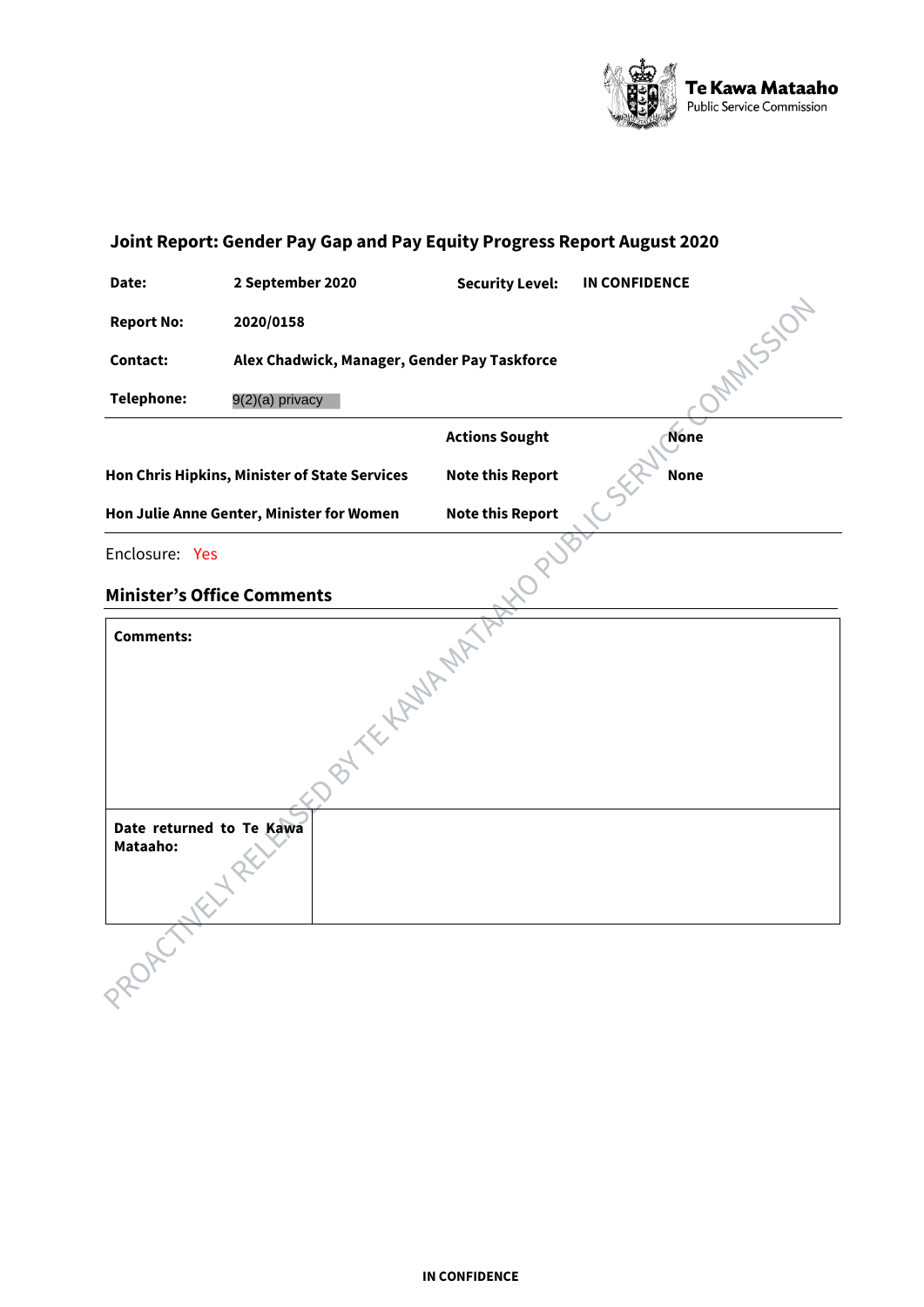

# **Joint Report: Gender Pay Gap and Pay Equity Progress Report August 2020**

| Date:                                                                | 2 September 2020                              | <b>Security Level:</b>  | <b>IN CONFIDENCE</b> |  |  |
|----------------------------------------------------------------------|-----------------------------------------------|-------------------------|----------------------|--|--|
| <b>Report No:</b>                                                    | 2020/0158                                     |                         | <b>MAINSION</b>      |  |  |
| Contact:                                                             | Alex Chadwick, Manager, Gender Pay Taskforce  |                         |                      |  |  |
| <b>Telephone:</b>                                                    | 9(2)(a) privacy                               |                         |                      |  |  |
|                                                                      |                                               | <b>Actions Sought</b>   | <b>None</b>          |  |  |
|                                                                      | Hon Chris Hipkins, Minister of State Services | <b>Note this Report</b> | <b>None</b>          |  |  |
| <b>Note this Report</b><br>Hon Julie Anne Genter, Minister for Women |                                               |                         |                      |  |  |
| Enclosure: Yes                                                       |                                               |                         |                      |  |  |
| <b>Minister's Office Comments</b>                                    |                                               |                         |                      |  |  |
| <b>Comments:</b>                                                     |                                               |                         |                      |  |  |
|                                                                      |                                               |                         |                      |  |  |
|                                                                      |                                               |                         |                      |  |  |
|                                                                      | BY THINKING                                   |                         |                      |  |  |
|                                                                      |                                               |                         |                      |  |  |
| Date returned to Te Kawa<br>Mataaho:                                 |                                               |                         |                      |  |  |
|                                                                      |                                               |                         |                      |  |  |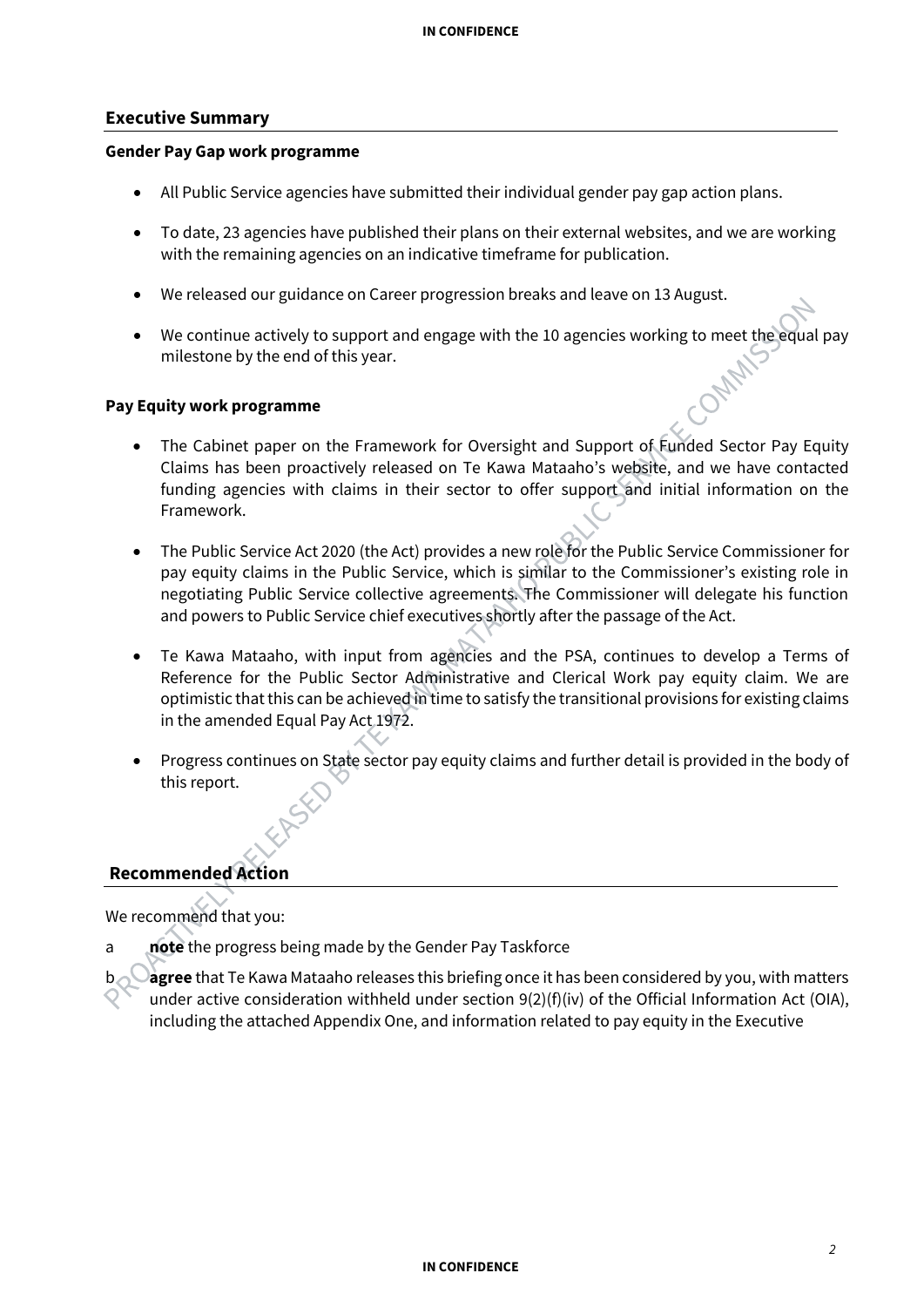#### **Executive Summary**

#### **Gender Pay Gap work programme**

- All Public Service agencies have submitted their individual gender pay gap action plans.
- To date, 23 agencies have published their plans on their external websites, and we are working with the remaining agencies on an indicative timeframe for publication.
- We released our guidance on Career progression breaks and leave on 13 August.
- We continue actively to support and engage with the 10 agencies working to meet the equal pay milestone by the end of this year. ONN-I

#### **Pay Equity work programme**

- The Cabinet paper on the Framework for Oversight and Support of Funded Sector Pay Equity Claims has been proactively released on Te Kawa Mataaho's website, and we have contacted funding agencies with claims in their sector to offer support and initial information on the Framework.
- The Public Service Act 2020 (the Act) provides a new role for the Public Service Commissioner for pay equity claims in the Public Service, which is similar to the Commissioner's existing role in negotiating Public Service collective agreements. The Commissioner will delegate his function and powers to Public Service chief executives shortly after the passage of the Act.
- Te Kawa Mataaho, with input from agencies and the PSA, continues to develop a Terms of Reference for the Public Sector Administrative and Clerical Work pay equity claim. We are optimistic that this can be achieved in time to satisfy the transitional provisions for existing claims in the amended Equal Pay Act 1972.
- Progress continues on State sector pay equity claims and further detail is provided in the body of this report.

# **Recommended Action**

We recommend that you:

- a **note** the progress being made by the Gender Pay Taskforce
	- **agree** that Te Kawa Mataaho releases this briefing once it has been considered by you, with matters under active consideration withheld under section  $9(2)(f)(iv)$  of the Official Information Act (OIA), including the attached Appendix One, and information related to pay equity in the Executive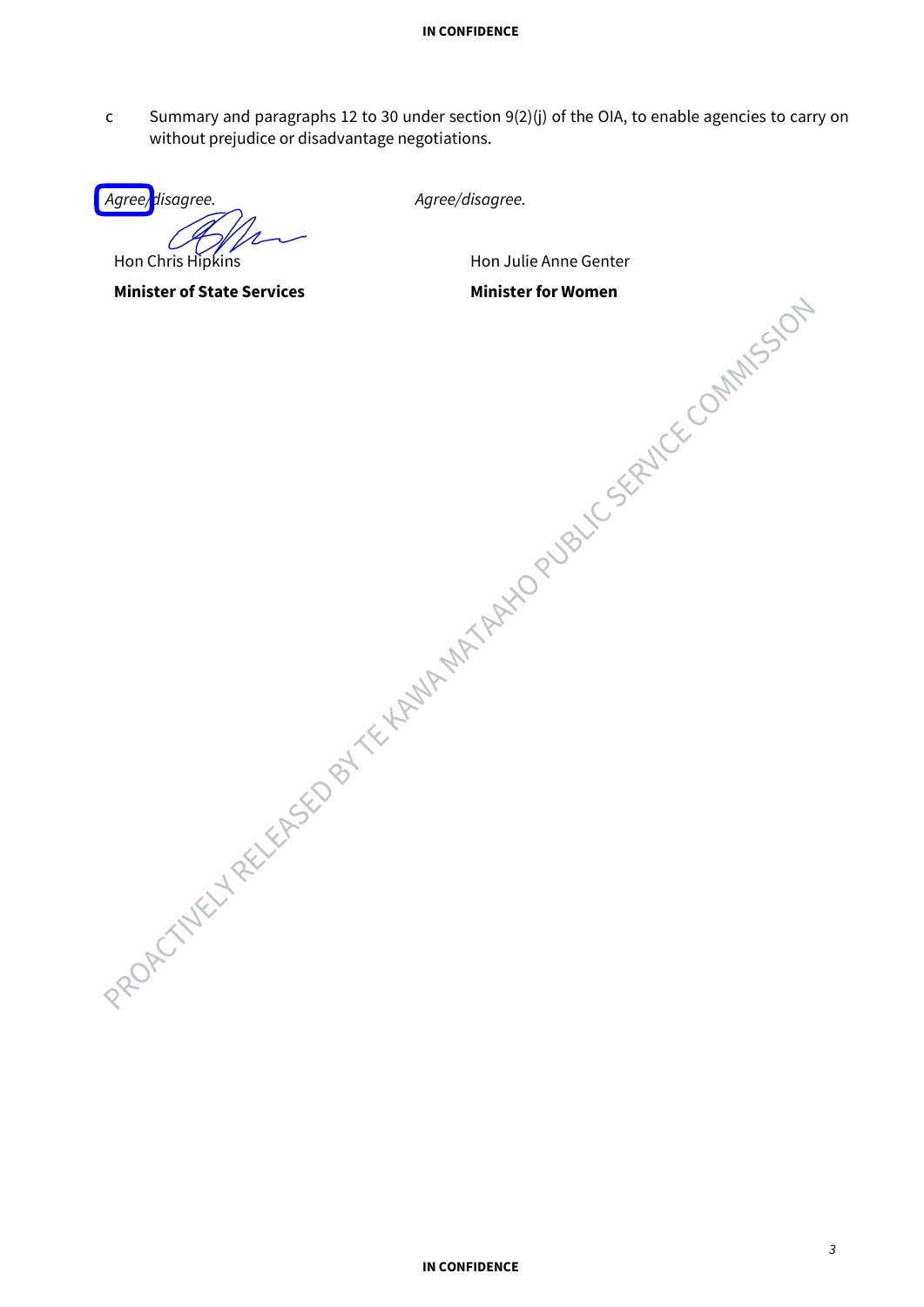c Summary and paragraphs 12 to 30 under section 9(2)(j) of the OIA, to enable agencies to carry on without prejudice or disadvantage negotiations.

*Agree/disagree. Agree/disagree.*  Hon Chris Hipkins

**Minister of State Services**

Hon Julie Anne Genter

**Minister for Women**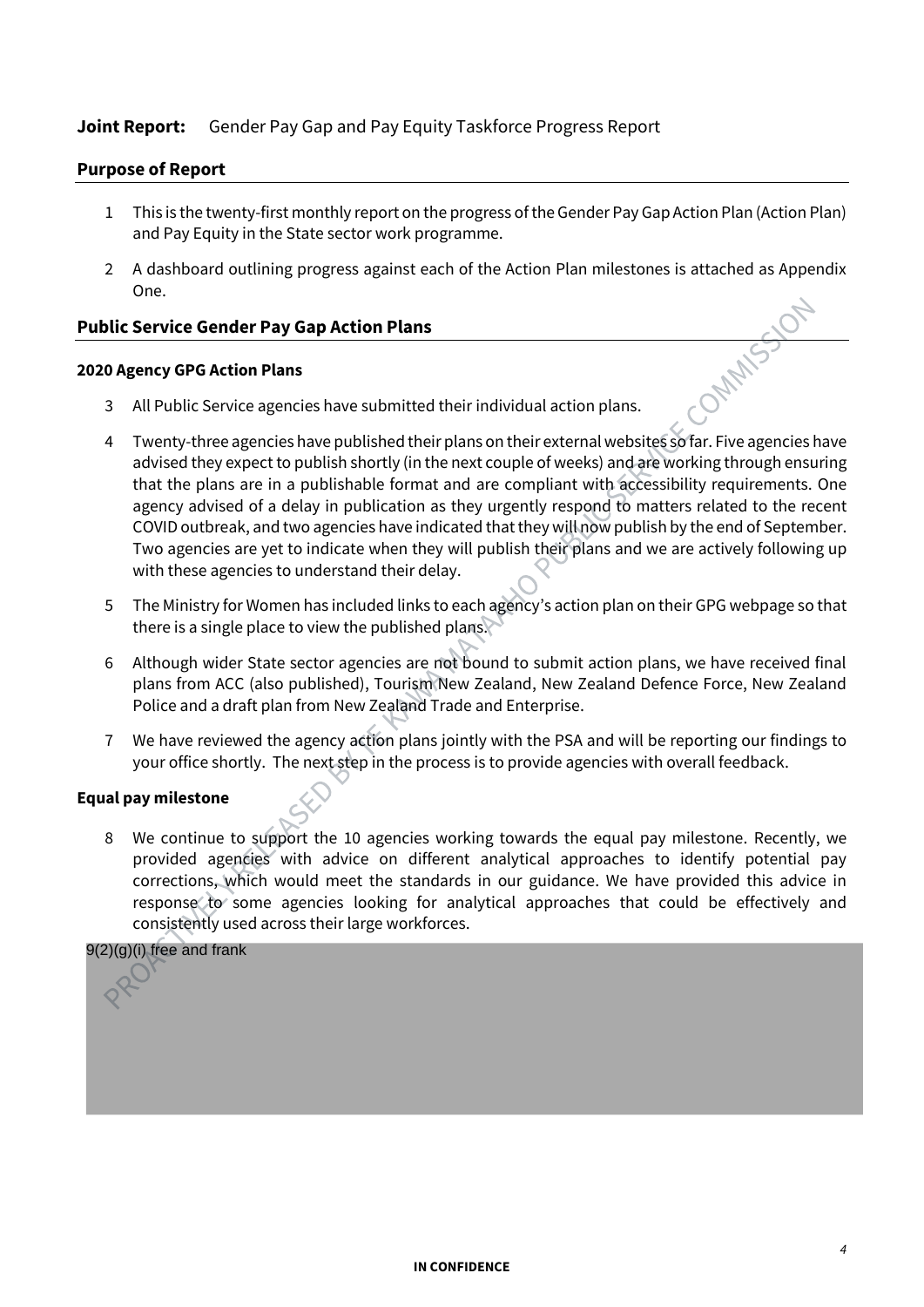# **Joint Report:** Gender Pay Gap and Pay Equity Taskforce Progress Report

## **Purpose of Report**

- 1 This is the twenty-first monthly report on the progress of the Gender Pay Gap Action Plan (Action Plan) and Pay Equity in the State sector work programme.
- 2 A dashboard outlining progress against each of the Action Plan milestones is attached as Appendix One.

## **Public Service Gender Pay Gap Action Plans**

#### **2020 Agency GPG Action Plans**

- 3 All Public Service agencies have submitted their individual action plans.
- 4 Twenty-three agencies have published their plans on their external websites so far. Five agencies have advised they expect to publish shortly (in the next couple of weeks) and are working through ensuring that the plans are in a publishable format and are compliant with accessibility requirements. One agency advised of a delay in publication as they urgently respond to matters related to the recent COVID outbreak, and two agencies have indicated that they will now publish by the end of September. Two agencies are yet to indicate when they will publish their plans and we are actively following up with these agencies to understand their delay.
- 5 The Ministry for Women has included links to each agency's action plan on their GPG webpage so that there is a single place to view the published plans.
- 6 Although wider State sector agencies are not bound to submit action plans, we have received final plans from ACC (also published), Tourism New Zealand, New Zealand Defence Force, New Zealand Police and a draft plan from New Zealand Trade and Enterprise.
- 7 We have reviewed the agency action plans jointly with the PSA and will be reporting our findings to your office shortly. The next step in the process is to provide agencies with overall feedback.

# **Equal pay milestone**

8 We continue to support the 10 agencies working towards the equal pay milestone. Recently, we provided agencies with advice on different analytical approaches to identify potential pay corrections, which would meet the standards in our guidance. We have provided this advice in response to some agencies looking for analytical approaches that could be effectively and consistently used across their large workforces.

## 9(2)(g)(i) free and frank

ORMANSSI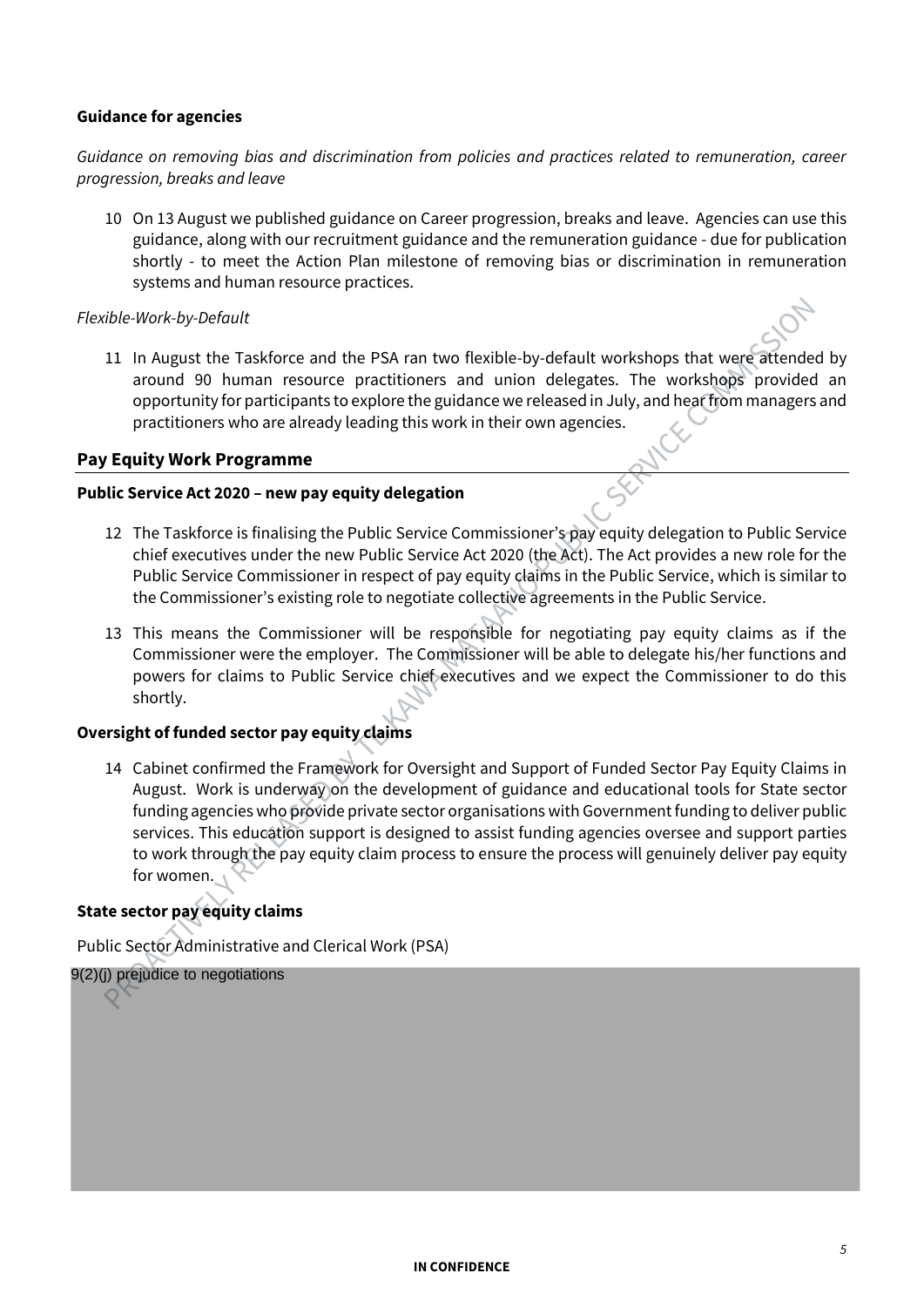#### **Guidance for agencies**

*Guidance on removing bias and discrimination from policies and practices related to remuneration, career progression, breaks and leave* 

10 On 13 August we published guidance on Career progression, breaks and leave. Agencies can use this guidance, along with our recruitment guidance and the remuneration guidance - due for publication shortly - to meet the Action Plan milestone of removing bias or discrimination in remuneration systems and human resource practices.

#### *Flexible-Work-by-Default*

11 In August the Taskforce and the PSA ran two flexible-by-default workshops that were attended by around 90 human resource practitioners and union delegates. The workshops provided an opportunity for participants to explore the guidance we released in July, and hear from managers and practitioners who are already leading this work in their own agencies.

# **Pay Equity Work Programme**

## **Public Service Act 2020 – new pay equity delegation**

- 12 The Taskforce is finalising the Public Service Commissioner's pay equity delegation to Public Service chief executives under the new Public Service Act 2020 (the Act). The Act provides a new role for the Public Service Commissioner in respect of pay equity claims in the Public Service, which is similar to the Commissioner's existing role to negotiate collective agreements in the Public Service.
- 13 This means the Commissioner will be responsible for negotiating pay equity claims as if the Commissioner were the employer. The Commissioner will be able to delegate his/her functions and powers for claims to Public Service chief executives and we expect the Commissioner to do this shortly.

#### **Oversight of funded sector pay equity claims**

14 Cabinet confirmed the Framework for Oversight and Support of Funded Sector Pay Equity Claims in August. Work is underway on the development of guidance and educational tools for State sector funding agencies who provide private sector organisations with Government funding to deliver public services. This education support is designed to assist funding agencies oversee and support parties to work through the pay equity claim process to ensure the process will genuinely deliver pay equity for women.

# **State sector pay equity claims**

Public Sector Administrative and Clerical Work (PSA)

#### 9(2)(j) prejudice to negotiations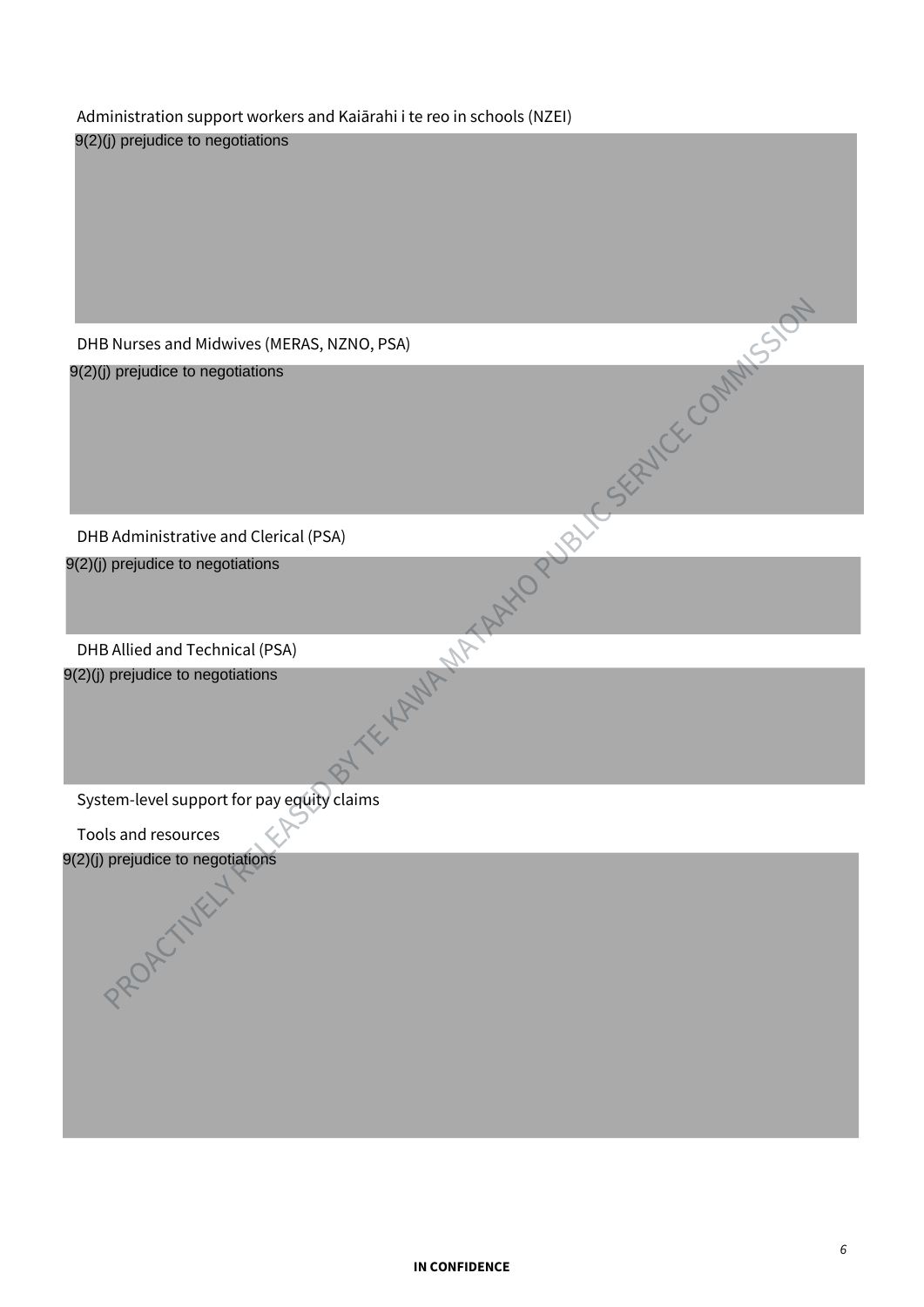# Administration support workers and Kaiārahi i te reo in schools (NZEI)

9(2)(j) prejudice to negotiations

9(2)(j) prejudice to negotiations

DHB Administrative and Clerical (PSA)

9(2)(j) prejudice to negotiations

DHB Nurses and Midwives (MERAS, NZNO, PSA)<br>2(2)(I) prejudice to negotiations<br>DHB Administrative and Clerical (PSA)<br>(2)(I) prejudice to negotiations<br>DHB Allied and Technical (PSA)<br>2)(I) prejudice to negotiations<br>Sv. DHB Allied and Technical (PSA) 9(2)(j) prejudice to negotiations

System-level support for pay equity claims

Tools and resources 9(2)(j) prejudice to negotiations

PROPETINEL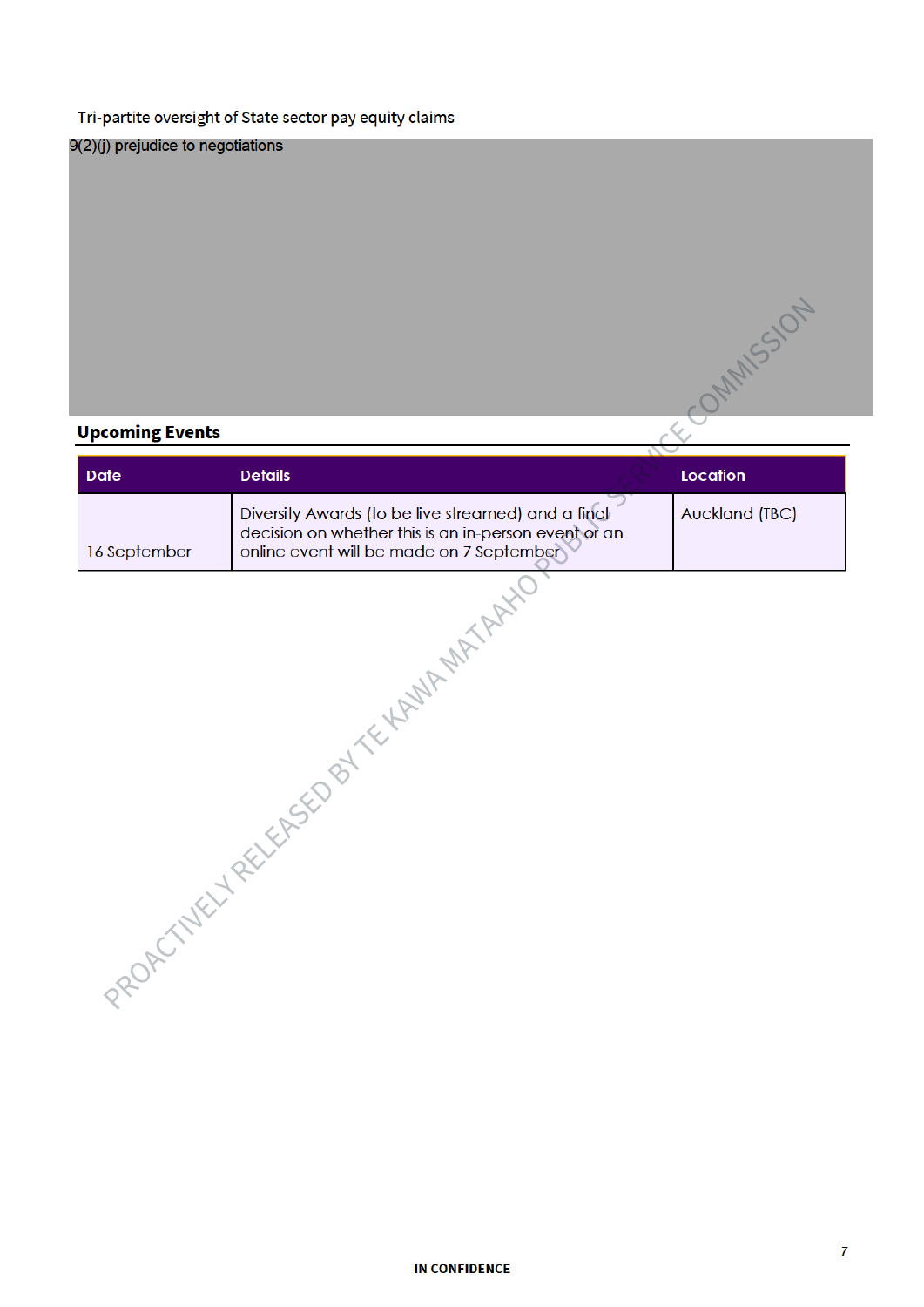# Tri-partite oversight of State sector pay equity claims

 $9(2)(j)$  prejudice to negotiations

# **Upcoming Events**

| <b>Upcoming Events</b> |                                                                                                                                                        |                       |
|------------------------|--------------------------------------------------------------------------------------------------------------------------------------------------------|-----------------------|
| <b>Date</b>            | <b>Details</b>                                                                                                                                         | Location              |
| 16 September           | Diversity Awards (to be live streamed) and a final<br>decision on whether this is an in-person event or an<br>online event will be made on 7 September | <b>Auckland (TBC)</b> |

PROPETTIELY RECEIVED BY TELLAND MATERIAL